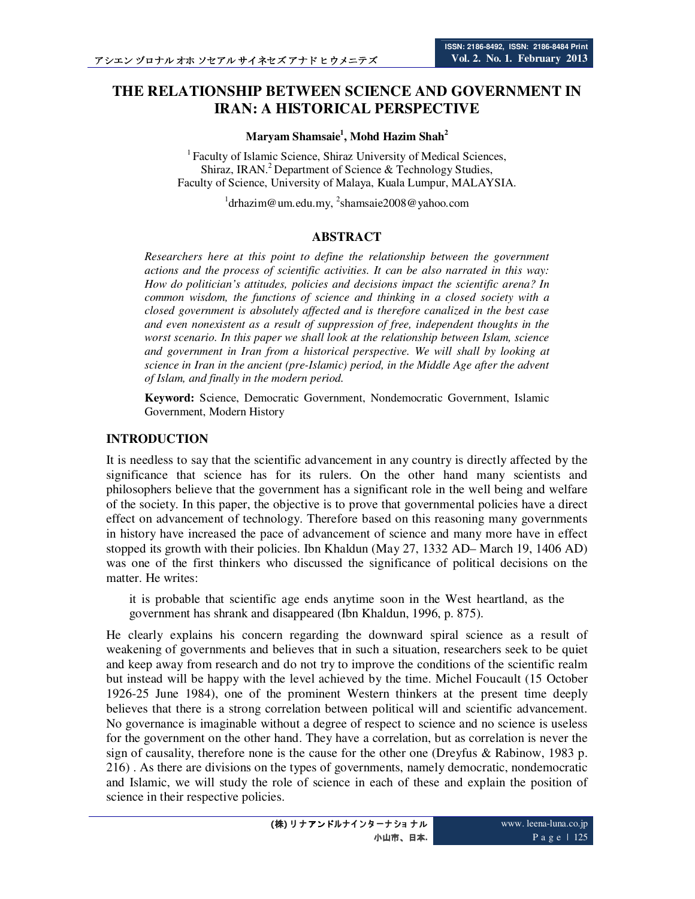# **THE RELATIONSHIP BETWEEN SCIENCE AND GOVERNMENT IN IRAN: A HISTORICAL PERSPECTIVE**

#### **Maryam Shamsaie<sup>1</sup> , Mohd Hazim Shah<sup>2</sup>**

<sup>1</sup> Faculty of Islamic Science, Shiraz University of Medical Sciences, Shiraz, IRAN.<sup>2</sup> Department of Science  $\&$  Technology Studies, Faculty of Science, University of Malaya, Kuala Lumpur, MALAYSIA.

<sup>1</sup>drhazim@um.edu.my, <sup>2</sup>shamsaie2008@yahoo.com

#### **ABSTRACT**

*Researchers here at this point to define the relationship between the government actions and the process of scientific activities. It can be also narrated in this way: How do politician's attitudes, policies and decisions impact the scientific arena? In common wisdom, the functions of science and thinking in a closed society with a closed government is absolutely affected and is therefore canalized in the best case and even nonexistent as a result of suppression of free, independent thoughts in the worst scenario. In this paper we shall look at the relationship between Islam, science and government in Iran from a historical perspective. We will shall by looking at science in Iran in the ancient (pre-Islamic) period, in the Middle Age after the advent of Islam, and finally in the modern period.* 

**Keyword:** Science, Democratic Government, Nondemocratic Government, Islamic Government, Modern History

#### **INTRODUCTION**

It is needless to say that the scientific advancement in any country is directly affected by the significance that science has for its rulers. On the other hand many scientists and philosophers believe that the government has a significant role in the well being and welfare of the society. In this paper, the objective is to prove that governmental policies have a direct effect on advancement of technology. Therefore based on this reasoning many governments in history have increased the pace of advancement of science and many more have in effect stopped its growth with their policies. Ibn Khaldun (May 27, 1332 AD– March 19, 1406 AD) was one of the first thinkers who discussed the significance of political decisions on the matter. He writes:

it is probable that scientific age ends anytime soon in the West heartland, as the government has shrank and disappeared (Ibn Khaldun, 1996, p. 875).

He clearly explains his concern regarding the downward spiral science as a result of weakening of governments and believes that in such a situation, researchers seek to be quiet and keep away from research and do not try to improve the conditions of the scientific realm but instead will be happy with the level achieved by the time. Michel Foucault (15 October 1926-25 June 1984), one of the prominent Western thinkers at the present time deeply believes that there is a strong correlation between political will and scientific advancement. No governance is imaginable without a degree of respect to science and no science is useless for the government on the other hand. They have a correlation, but as correlation is never the sign of causality, therefore none is the cause for the other one (Dreyfus & Rabinow, 1983 p. 216) . As there are divisions on the types of governments, namely democratic, nondemocratic and Islamic, we will study the role of science in each of these and explain the position of science in their respective policies.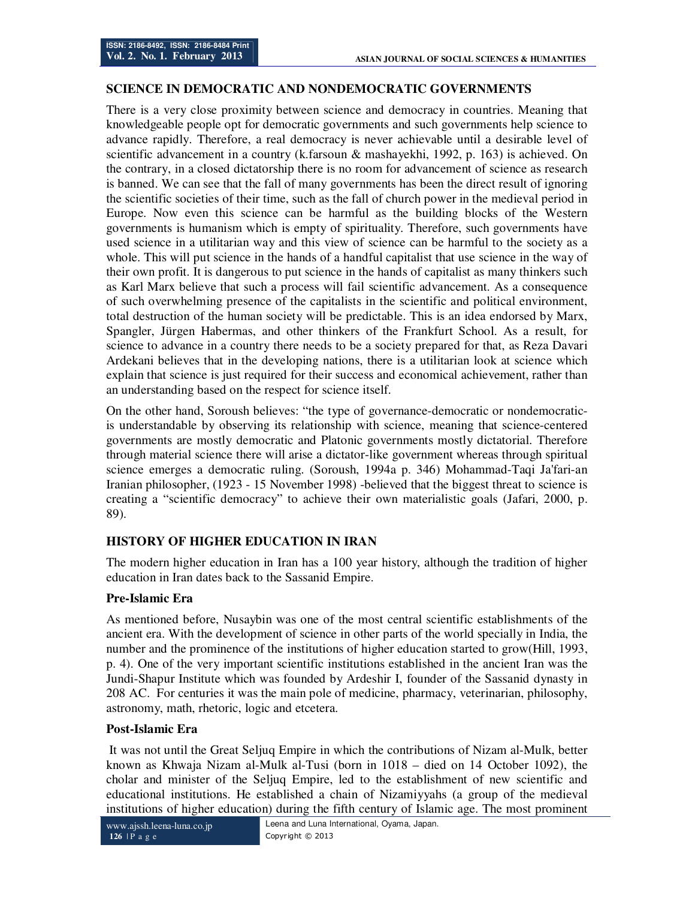# **SCIENCE IN DEMOCRATIC AND NONDEMOCRATIC GOVERNMENTS**

There is a very close proximity between science and democracy in countries. Meaning that knowledgeable people opt for democratic governments and such governments help science to advance rapidly. Therefore, a real democracy is never achievable until a desirable level of scientific advancement in a country (k.farsoun & mashayekhi, 1992, p. 163) is achieved. On the contrary, in a closed dictatorship there is no room for advancement of science as research is banned. We can see that the fall of many governments has been the direct result of ignoring the scientific societies of their time, such as the fall of church power in the medieval period in Europe. Now even this science can be harmful as the building blocks of the Western governments is humanism which is empty of spirituality. Therefore, such governments have used science in a utilitarian way and this view of science can be harmful to the society as a whole. This will put science in the hands of a handful capitalist that use science in the way of their own profit. It is dangerous to put science in the hands of capitalist as many thinkers such as Karl Marx believe that such a process will fail scientific advancement. As a consequence of such overwhelming presence of the capitalists in the scientific and political environment, total destruction of the human society will be predictable. This is an idea endorsed by Marx, Spangler, Jürgen Habermas, and other thinkers of the Frankfurt School. As a result, for science to advance in a country there needs to be a society prepared for that, as Reza Davari Ardekani believes that in the developing nations, there is a utilitarian look at science which explain that science is just required for their success and economical achievement, rather than an understanding based on the respect for science itself.

On the other hand, Soroush believes: "the type of governance-democratic or nondemocraticis understandable by observing its relationship with science, meaning that science-centered governments are mostly democratic and Platonic governments mostly dictatorial. Therefore through material science there will arise a dictator-like government whereas through spiritual science emerges a democratic ruling. (Soroush, 1994a p. 346) Mohammad-Taqi Ja'fari-an Iranian philosopher, (1923 - 15 November 1998) -believed that the biggest threat to science is creating a "scientific democracy" to achieve their own materialistic goals (Jafari, 2000, p. 89).

# **HISTORY OF HIGHER EDUCATION IN IRAN**

The modern higher education in Iran has a 100 year history, although the tradition of higher education in Iran dates back to the Sassanid Empire.

# **Pre-Islamic Era**

As mentioned before, Nusaybin was one of the most central scientific establishments of the ancient era. With the development of science in other parts of the world specially in India, the number and the prominence of the institutions of higher education started to grow(Hill, 1993, p. 4). One of the very important scientific institutions established in the ancient Iran was the Jundi-Shapur Institute which was founded by Ardeshir I, founder of the Sassanid dynasty in 208 AC. For centuries it was the main pole of medicine, pharmacy, veterinarian, philosophy, astronomy, math, rhetoric, logic and etcetera.

#### **Post-Islamic Era**

 It was not until the Great Seljuq Empire in which the contributions of Nizam al-Mulk, better known as Khwaja Nizam al-Mulk al-Tusi (born in 1018 – died on 14 October 1092), the cholar and minister of the Seljuq Empire, led to the establishment of new scientific and educational institutions. He established a chain of Nizamiyyahs (a group of the medieval institutions of higher education) during the fifth century of Islamic age. The most prominent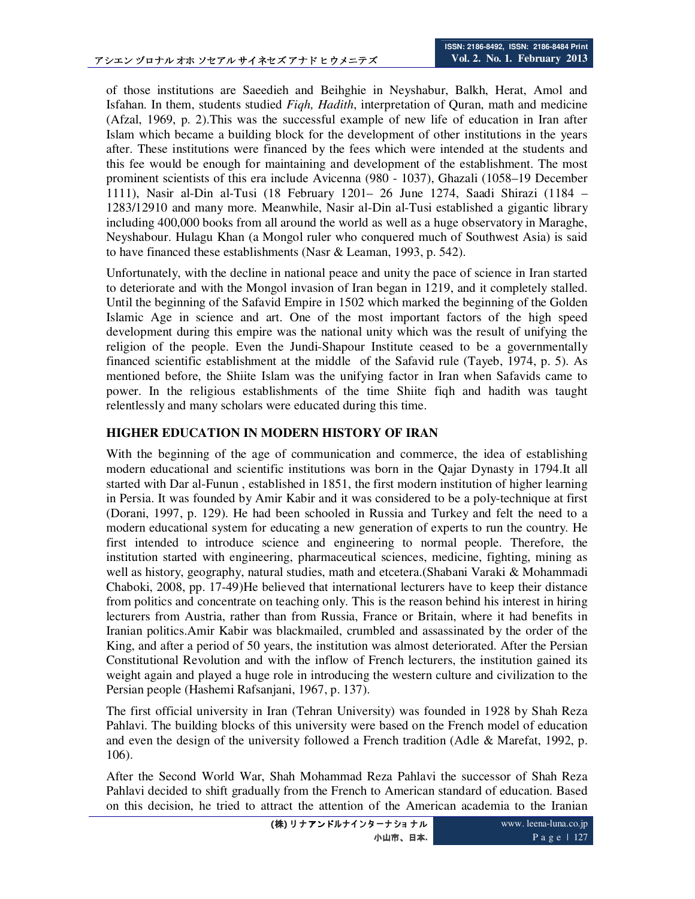of those institutions are Saeedieh and Beihghie in Neyshabur, Balkh, Herat, Amol and Isfahan. In them, students studied *Fiqh, Hadith*, interpretation of Quran, math and medicine (Afzal, 1969, p. 2).This was the successful example of new life of education in Iran after Islam which became a building block for the development of other institutions in the years after. These institutions were financed by the fees which were intended at the students and this fee would be enough for maintaining and development of the establishment. The most prominent scientists of this era include Avicenna (980 - 1037), Ghazali (1058–19 December 1111), Nasir al-Din al-Tusi (18 February 1201– 26 June 1274, Saadi Shirazi (1184 – 1283/12910 and many more. Meanwhile, Nasir al-Din al-Tusi established a gigantic library including 400,000 books from all around the world as well as a huge observatory in Maraghe, Neyshabour. Hulagu Khan (a Mongol ruler who conquered much of Southwest Asia) is said to have financed these establishments (Nasr & Leaman, 1993, p. 542).

Unfortunately, with the decline in national peace and unity the pace of science in Iran started to deteriorate and with the Mongol invasion of Iran began in 1219, and it completely stalled. Until the beginning of the Safavid Empire in 1502 which marked the beginning of the Golden Islamic Age in science and art. One of the most important factors of the high speed development during this empire was the national unity which was the result of unifying the religion of the people. Even the Jundi-Shapour Institute ceased to be a governmentally financed scientific establishment at the middle of the Safavid rule (Tayeb, 1974, p. 5). As mentioned before, the Shiite Islam was the unifying factor in Iran when Safavids came to power. In the religious establishments of the time Shiite fiqh and hadith was taught relentlessly and many scholars were educated during this time.

# **HIGHER EDUCATION IN MODERN HISTORY OF IRAN**

With the beginning of the age of communication and commerce, the idea of establishing modern educational and scientific institutions was born in the Qajar Dynasty in 1794.It all started with Dar al-Funun , established in 1851, the first modern institution of higher learning in Persia. It was founded by Amir Kabir and it was considered to be a poly-technique at first (Dorani, 1997, p. 129). He had been schooled in Russia and Turkey and felt the need to a modern educational system for educating a new generation of experts to run the country. He first intended to introduce science and engineering to normal people. Therefore, the institution started with engineering, pharmaceutical sciences, medicine, fighting, mining as well as history, geography, natural studies, math and etcetera.(Shabani Varaki & Mohammadi Chaboki, 2008, pp. 17-49)He believed that international lecturers have to keep their distance from politics and concentrate on teaching only. This is the reason behind his interest in hiring lecturers from Austria, rather than from Russia, France or Britain, where it had benefits in Iranian politics.Amir Kabir was blackmailed, crumbled and assassinated by the order of the King, and after a period of 50 years, the institution was almost deteriorated. After the Persian Constitutional Revolution and with the inflow of French lecturers, the institution gained its weight again and played a huge role in introducing the western culture and civilization to the Persian people (Hashemi Rafsanjani, 1967, p. 137).

The first official university in Iran (Tehran University) was founded in 1928 by Shah Reza Pahlavi. The building blocks of this university were based on the French model of education and even the design of the university followed a French tradition (Adle  $&$  Marefat, 1992, p. 106).

After the Second World War, Shah Mohammad Reza Pahlavi the successor of Shah Reza Pahlavi decided to shift gradually from the French to American standard of education. Based on this decision, he tried to attract the attention of the American academia to the Iranian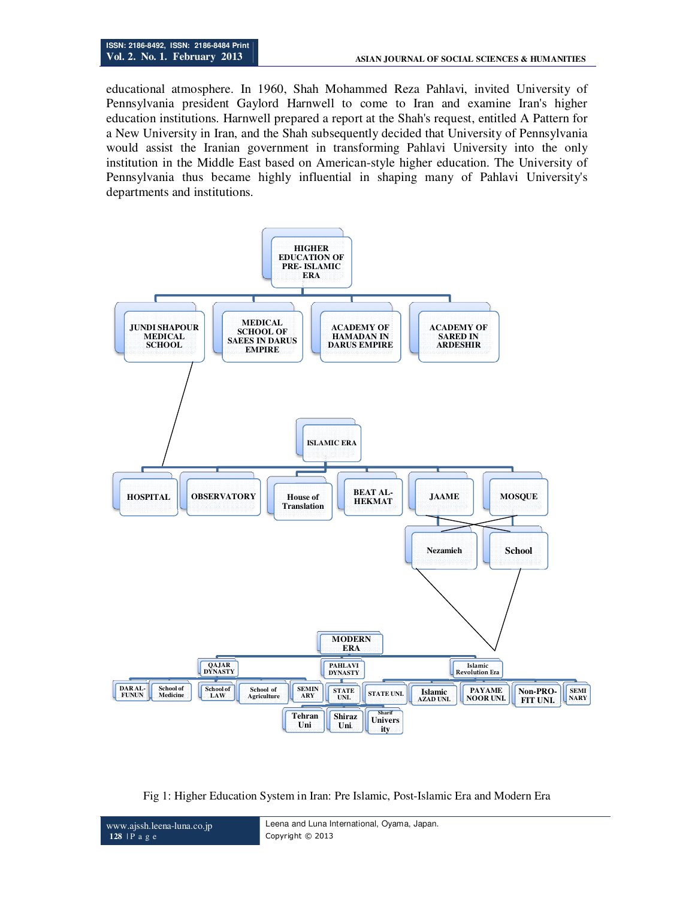educational atmosphere. In 1960, Shah Mohammed Reza Pahlavi, invited University of Pennsylvania president Gaylord Harnwell to come to Iran and examine Iran's higher education institutions. Harnwell prepared a report at the Shah's request, entitled A Pattern for a New University in Iran, and the Shah subsequently decided that University of Pennsylvania would assist the Iranian government in transforming Pahlavi University into the only institution in the Middle East based on American-style higher education. The University of Pennsylvania thus became highly influential in shaping many of Pahlavi University's departments and institutions.



Fig 1: Higher Education System in Iran: Pre Islamic, Post-Islamic Era and Modern Era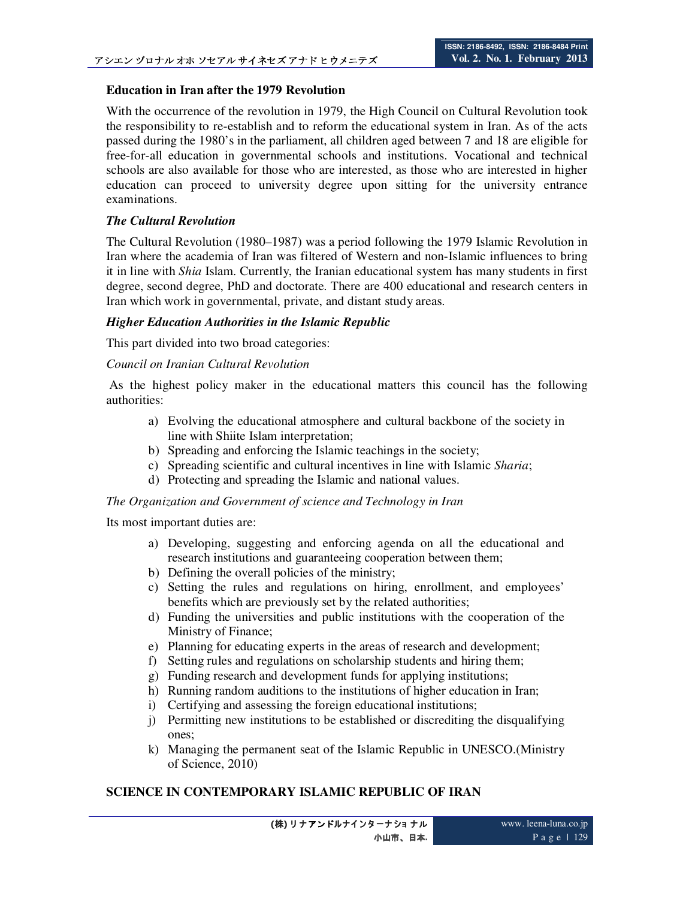# **Education in Iran after the 1979 Revolution**

With the occurrence of the revolution in 1979, the High Council on Cultural Revolution took the responsibility to re-establish and to reform the educational system in Iran. As of the acts passed during the 1980's in the parliament, all children aged between 7 and 18 are eligible for free-for-all education in governmental schools and institutions. Vocational and technical schools are also available for those who are interested, as those who are interested in higher education can proceed to university degree upon sitting for the university entrance examinations.

## *The Cultural Revolution*

The Cultural Revolution (1980–1987) was a period following the 1979 Islamic Revolution in Iran where the academia of Iran was filtered of Western and non-Islamic influences to bring it in line with *Shia* Islam. Currently, the Iranian educational system has many students in first degree, second degree, PhD and doctorate. There are 400 educational and research centers in Iran which work in governmental, private, and distant study areas.

## *Higher Education Authorities in the Islamic Republic*

This part divided into two broad categories:

# *Council on Iranian Cultural Revolution*

 As the highest policy maker in the educational matters this council has the following authorities:

- a) Evolving the educational atmosphere and cultural backbone of the society in line with Shiite Islam interpretation;
- b) Spreading and enforcing the Islamic teachings in the society;
- c) Spreading scientific and cultural incentives in line with Islamic *Sharia*;
- d) Protecting and spreading the Islamic and national values.

#### *The Organization and Government of science and Technology in Iran*

Its most important duties are:

- a) Developing, suggesting and enforcing agenda on all the educational and research institutions and guaranteeing cooperation between them;
- b) Defining the overall policies of the ministry;
- c) Setting the rules and regulations on hiring, enrollment, and employees' benefits which are previously set by the related authorities;
- d) Funding the universities and public institutions with the cooperation of the Ministry of Finance;
- e) Planning for educating experts in the areas of research and development;
- f) Setting rules and regulations on scholarship students and hiring them;
- g) Funding research and development funds for applying institutions;
- h) Running random auditions to the institutions of higher education in Iran;
- i) Certifying and assessing the foreign educational institutions;
- j) Permitting new institutions to be established or discrediting the disqualifying ones;
- k) Managing the permanent seat of the Islamic Republic in UNESCO.(Ministry of Science, 2010)

# **SCIENCE IN CONTEMPORARY ISLAMIC REPUBLIC OF IRAN**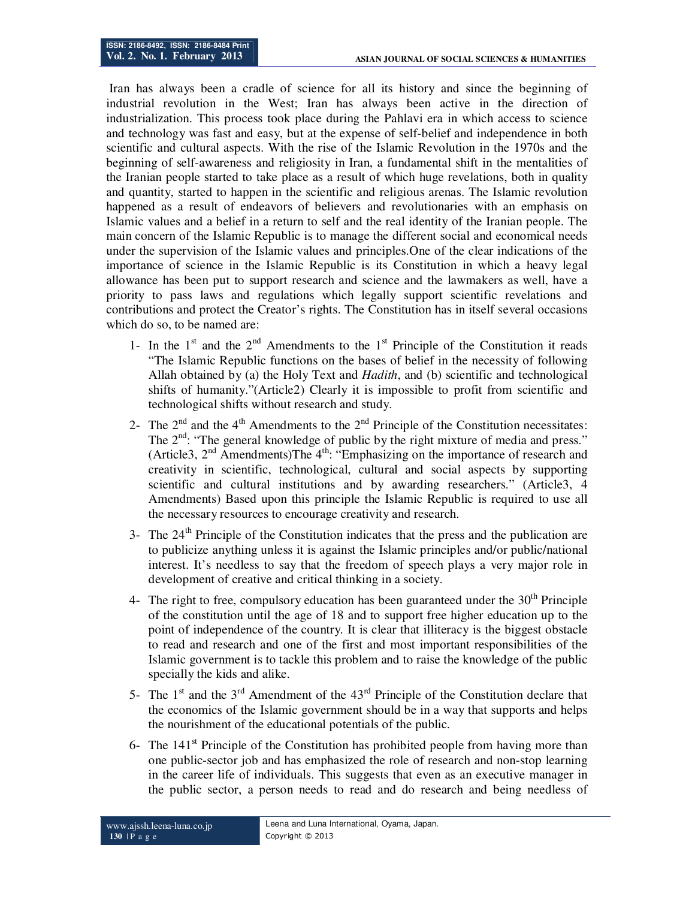Iran has always been a cradle of science for all its history and since the beginning of industrial revolution in the West; Iran has always been active in the direction of industrialization. This process took place during the Pahlavi era in which access to science and technology was fast and easy, but at the expense of self-belief and independence in both scientific and cultural aspects. With the rise of the Islamic Revolution in the 1970s and the beginning of self-awareness and religiosity in Iran, a fundamental shift in the mentalities of the Iranian people started to take place as a result of which huge revelations, both in quality and quantity, started to happen in the scientific and religious arenas. The Islamic revolution happened as a result of endeavors of believers and revolutionaries with an emphasis on Islamic values and a belief in a return to self and the real identity of the Iranian people. The main concern of the Islamic Republic is to manage the different social and economical needs under the supervision of the Islamic values and principles.One of the clear indications of the importance of science in the Islamic Republic is its Constitution in which a heavy legal allowance has been put to support research and science and the lawmakers as well, have a priority to pass laws and regulations which legally support scientific revelations and contributions and protect the Creator's rights. The Constitution has in itself several occasions which do so, to be named are:

- 1- In the  $1<sup>st</sup>$  and the  $2<sup>nd</sup>$  Amendments to the  $1<sup>st</sup>$  Principle of the Constitution it reads "The Islamic Republic functions on the bases of belief in the necessity of following Allah obtained by (a) the Holy Text and *Hadith*, and (b) scientific and technological shifts of humanity."(Article2) Clearly it is impossible to profit from scientific and technological shifts without research and study.
- 2- The  $2<sup>nd</sup>$  and the 4<sup>th</sup> Amendments to the  $2<sup>nd</sup>$  Principle of the Constitution necessitates: The  $2<sup>nd</sup>$ : "The general knowledge of public by the right mixture of media and press." (Article3, 2<sup>nd</sup> Amendments)The 4<sup>th</sup>: "Emphasizing on the importance of research and creativity in scientific, technological, cultural and social aspects by supporting scientific and cultural institutions and by awarding researchers." (Article3, 4 Amendments) Based upon this principle the Islamic Republic is required to use all the necessary resources to encourage creativity and research.
- 3- The  $24<sup>th</sup>$  Principle of the Constitution indicates that the press and the publication are to publicize anything unless it is against the Islamic principles and/or public/national interest. It's needless to say that the freedom of speech plays a very major role in development of creative and critical thinking in a society.
- 4- The right to free, compulsory education has been guaranteed under the  $30<sup>th</sup>$  Principle of the constitution until the age of 18 and to support free higher education up to the point of independence of the country. It is clear that illiteracy is the biggest obstacle to read and research and one of the first and most important responsibilities of the Islamic government is to tackle this problem and to raise the knowledge of the public specially the kids and alike.
- 5- The  $1<sup>st</sup>$  and the  $3<sup>rd</sup>$  Amendment of the  $43<sup>rd</sup>$  Principle of the Constitution declare that the economics of the Islamic government should be in a way that supports and helps the nourishment of the educational potentials of the public.
- 6- The  $141<sup>st</sup>$  Principle of the Constitution has prohibited people from having more than one public-sector job and has emphasized the role of research and non-stop learning in the career life of individuals. This suggests that even as an executive manager in the public sector, a person needs to read and do research and being needless of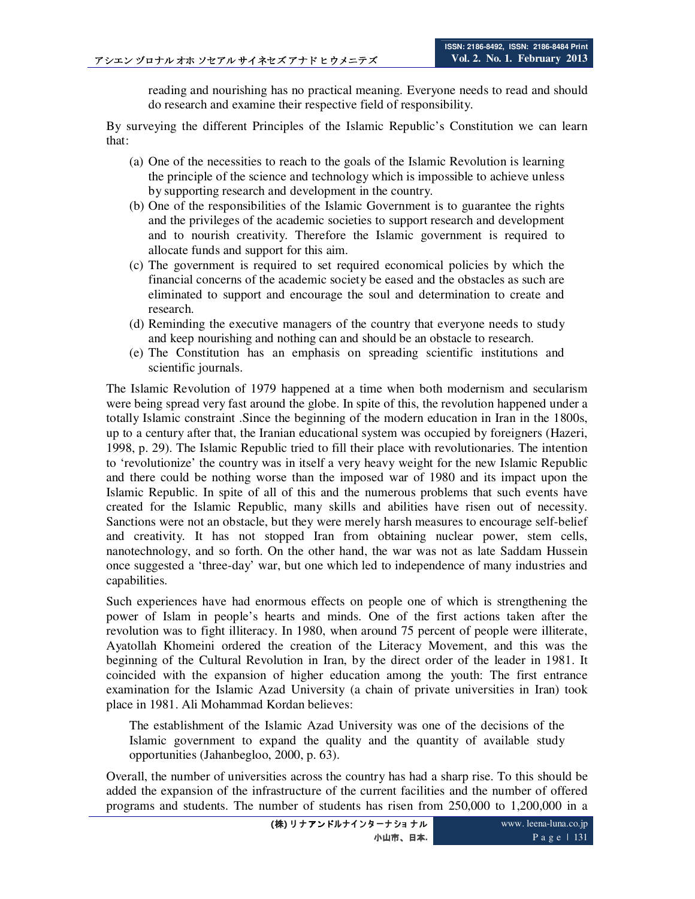reading and nourishing has no practical meaning. Everyone needs to read and should do research and examine their respective field of responsibility.

By surveying the different Principles of the Islamic Republic's Constitution we can learn that:

- (a) One of the necessities to reach to the goals of the Islamic Revolution is learning the principle of the science and technology which is impossible to achieve unless by supporting research and development in the country.
- (b) One of the responsibilities of the Islamic Government is to guarantee the rights and the privileges of the academic societies to support research and development and to nourish creativity. Therefore the Islamic government is required to allocate funds and support for this aim.
- (c) The government is required to set required economical policies by which the financial concerns of the academic society be eased and the obstacles as such are eliminated to support and encourage the soul and determination to create and research.
- (d) Reminding the executive managers of the country that everyone needs to study and keep nourishing and nothing can and should be an obstacle to research.
- (e) The Constitution has an emphasis on spreading scientific institutions and scientific journals.

The Islamic Revolution of 1979 happened at a time when both modernism and secularism were being spread very fast around the globe. In spite of this, the revolution happened under a totally Islamic constraint .Since the beginning of the modern education in Iran in the 1800s, up to a century after that, the Iranian educational system was occupied by foreigners (Hazeri, 1998, p. 29). The Islamic Republic tried to fill their place with revolutionaries. The intention to 'revolutionize' the country was in itself a very heavy weight for the new Islamic Republic and there could be nothing worse than the imposed war of 1980 and its impact upon the Islamic Republic. In spite of all of this and the numerous problems that such events have created for the Islamic Republic, many skills and abilities have risen out of necessity. Sanctions were not an obstacle, but they were merely harsh measures to encourage self-belief and creativity. It has not stopped Iran from obtaining nuclear power, stem cells, nanotechnology, and so forth. On the other hand, the war was not as late Saddam Hussein once suggested a 'three-day' war, but one which led to independence of many industries and capabilities.

Such experiences have had enormous effects on people one of which is strengthening the power of Islam in people's hearts and minds. One of the first actions taken after the revolution was to fight illiteracy. In 1980, when around 75 percent of people were illiterate, Ayatollah Khomeini ordered the creation of the Literacy Movement, and this was the beginning of the Cultural Revolution in Iran, by the direct order of the leader in 1981. It coincided with the expansion of higher education among the youth: The first entrance examination for the Islamic Azad University (a chain of private universities in Iran) took place in 1981. Ali Mohammad Kordan believes:

The establishment of the Islamic Azad University was one of the decisions of the Islamic government to expand the quality and the quantity of available study opportunities (Jahanbegloo, 2000, p. 63).

Overall, the number of universities across the country has had a sharp rise. To this should be added the expansion of the infrastructure of the current facilities and the number of offered programs and students. The number of students has risen from 250,000 to 1,200,000 in a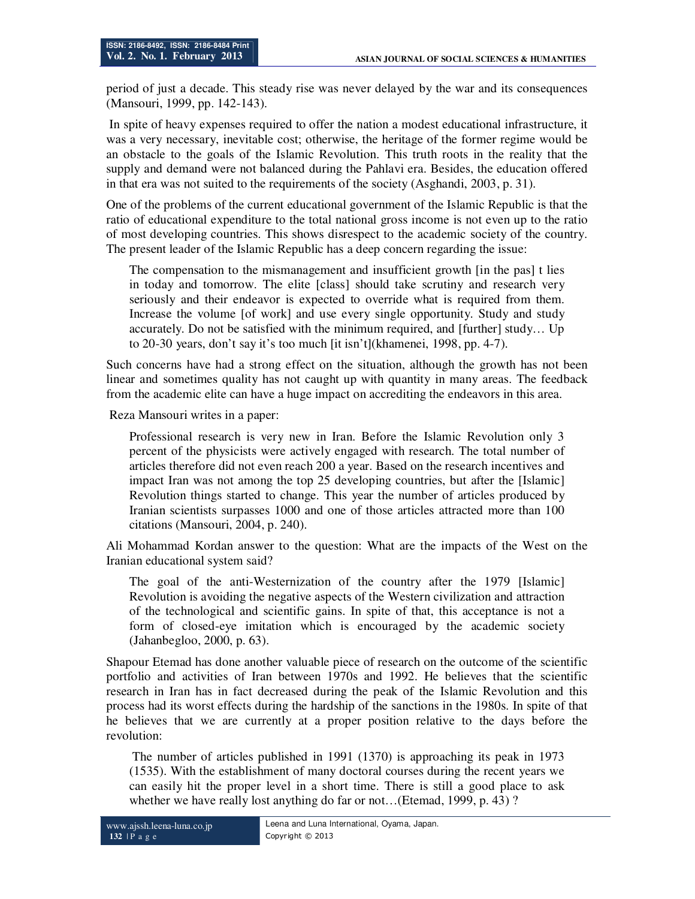period of just a decade. This steady rise was never delayed by the war and its consequences (Mansouri, 1999, pp. 142-143).

 In spite of heavy expenses required to offer the nation a modest educational infrastructure, it was a very necessary, inevitable cost; otherwise, the heritage of the former regime would be an obstacle to the goals of the Islamic Revolution. This truth roots in the reality that the supply and demand were not balanced during the Pahlavi era. Besides, the education offered in that era was not suited to the requirements of the society (Asghandi, 2003, p. 31).

One of the problems of the current educational government of the Islamic Republic is that the ratio of educational expenditure to the total national gross income is not even up to the ratio of most developing countries. This shows disrespect to the academic society of the country. The present leader of the Islamic Republic has a deep concern regarding the issue:

The compensation to the mismanagement and insufficient growth [in the pas] t lies in today and tomorrow. The elite [class] should take scrutiny and research very seriously and their endeavor is expected to override what is required from them. Increase the volume [of work] and use every single opportunity. Study and study accurately. Do not be satisfied with the minimum required, and [further] study… Up to 20-30 years, don't say it's too much [it isn't](khamenei, 1998, pp. 4-7).

Such concerns have had a strong effect on the situation, although the growth has not been linear and sometimes quality has not caught up with quantity in many areas. The feedback from the academic elite can have a huge impact on accrediting the endeavors in this area.

Reza Mansouri writes in a paper:

Professional research is very new in Iran. Before the Islamic Revolution only 3 percent of the physicists were actively engaged with research. The total number of articles therefore did not even reach 200 a year. Based on the research incentives and impact Iran was not among the top 25 developing countries, but after the [Islamic] Revolution things started to change. This year the number of articles produced by Iranian scientists surpasses 1000 and one of those articles attracted more than 100 citations (Mansouri, 2004, p. 240).

Ali Mohammad Kordan answer to the question: What are the impacts of the West on the Iranian educational system said?

The goal of the anti-Westernization of the country after the 1979 [Islamic] Revolution is avoiding the negative aspects of the Western civilization and attraction of the technological and scientific gains. In spite of that, this acceptance is not a form of closed-eye imitation which is encouraged by the academic society (Jahanbegloo, 2000, p. 63).

Shapour Etemad has done another valuable piece of research on the outcome of the scientific portfolio and activities of Iran between 1970s and 1992. He believes that the scientific research in Iran has in fact decreased during the peak of the Islamic Revolution and this process had its worst effects during the hardship of the sanctions in the 1980s. In spite of that he believes that we are currently at a proper position relative to the days before the revolution:

The number of articles published in 1991 (1370) is approaching its peak in 1973 (1535). With the establishment of many doctoral courses during the recent years we can easily hit the proper level in a short time. There is still a good place to ask whether we have really lost anything do far or not...(Etemad, 1999, p. 43)?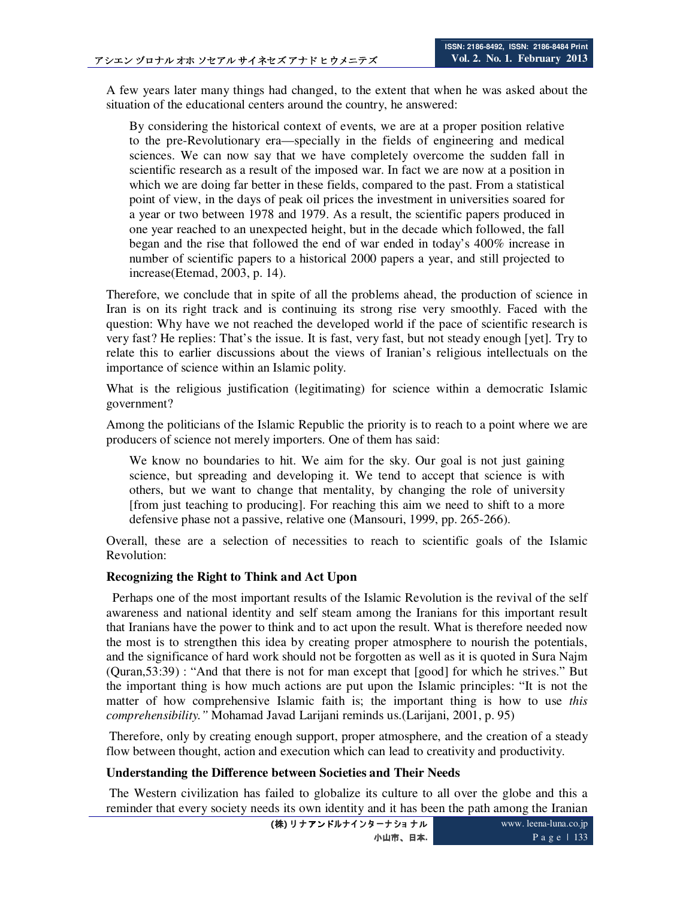A few years later many things had changed, to the extent that when he was asked about the situation of the educational centers around the country, he answered:

By considering the historical context of events, we are at a proper position relative to the pre-Revolutionary era—specially in the fields of engineering and medical sciences. We can now say that we have completely overcome the sudden fall in scientific research as a result of the imposed war. In fact we are now at a position in which we are doing far better in these fields, compared to the past. From a statistical point of view, in the days of peak oil prices the investment in universities soared for a year or two between 1978 and 1979. As a result, the scientific papers produced in one year reached to an unexpected height, but in the decade which followed, the fall began and the rise that followed the end of war ended in today's 400% increase in number of scientific papers to a historical 2000 papers a year, and still projected to increase(Etemad, 2003, p. 14).

Therefore, we conclude that in spite of all the problems ahead, the production of science in Iran is on its right track and is continuing its strong rise very smoothly. Faced with the question: Why have we not reached the developed world if the pace of scientific research is very fast? He replies: That's the issue. It is fast, very fast, but not steady enough [yet]. Try to relate this to earlier discussions about the views of Iranian's religious intellectuals on the importance of science within an Islamic polity.

What is the religious justification (legitimating) for science within a democratic Islamic government?

Among the politicians of the Islamic Republic the priority is to reach to a point where we are producers of science not merely importers. One of them has said:

We know no boundaries to hit. We aim for the sky. Our goal is not just gaining science, but spreading and developing it. We tend to accept that science is with others, but we want to change that mentality, by changing the role of university [from just teaching to producing]. For reaching this aim we need to shift to a more defensive phase not a passive, relative one (Mansouri, 1999, pp. 265-266).

Overall, these are a selection of necessities to reach to scientific goals of the Islamic Revolution:

#### **Recognizing the Right to Think and Act Upon**

 Perhaps one of the most important results of the Islamic Revolution is the revival of the self awareness and national identity and self steam among the Iranians for this important result that Iranians have the power to think and to act upon the result. What is therefore needed now the most is to strengthen this idea by creating proper atmosphere to nourish the potentials, and the significance of hard work should not be forgotten as well as it is quoted in Sura Najm (Quran,53:39) : "And that there is not for man except that [good] for which he strives." But the important thing is how much actions are put upon the Islamic principles: "It is not the matter of how comprehensive Islamic faith is; the important thing is how to use *this comprehensibility."* Mohamad Javad Larijani reminds us.(Larijani, 2001, p. 95)

 Therefore, only by creating enough support, proper atmosphere, and the creation of a steady flow between thought, action and execution which can lead to creativity and productivity.

#### **Understanding the Difference between Societies and Their Needs**

 The Western civilization has failed to globalize its culture to all over the globe and this a reminder that every society needs its own identity and it has been the path among the Iranian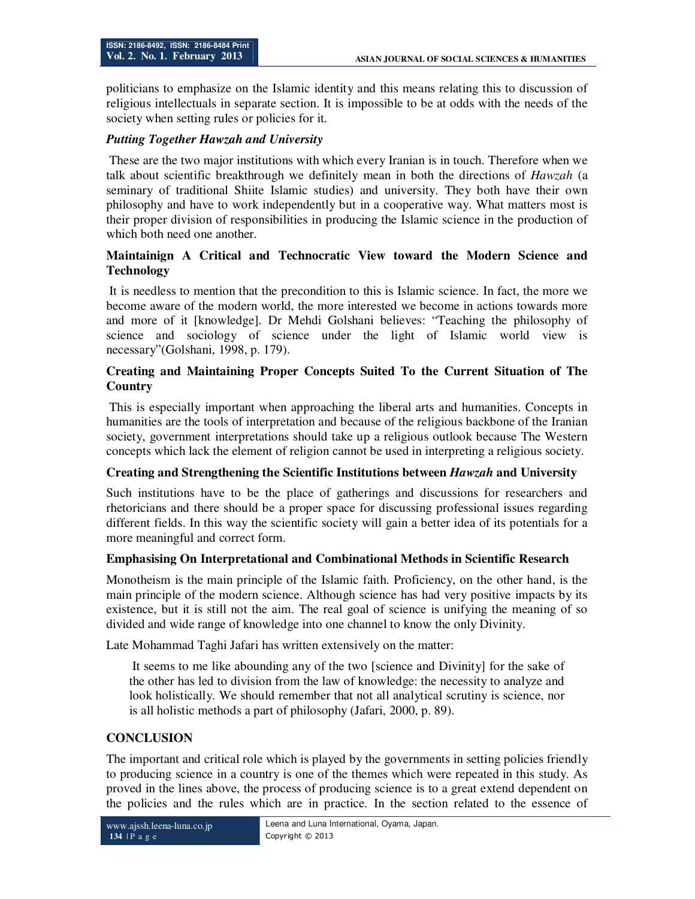politicians to emphasize on the Islamic identity and this means relating this to discussion of religious intellectuals in separate section. It is impossible to be at odds with the needs of the society when setting rules or policies for it.

## *Putting Together Hawzah and University*

These are the two major institutions with which every Iranian is in touch. Therefore when we talk about scientific breakthrough we definitely mean in both the directions of *Hawzah* (a seminary of traditional Shiite Islamic studies) and university. They both have their own philosophy and have to work independently but in a cooperative way. What matters most is their proper division of responsibilities in producing the Islamic science in the production of which both need one another.

# **Maintainign A Critical and Technocratic View toward the Modern Science and Technology**

It is needless to mention that the precondition to this is Islamic science. In fact, the more we become aware of the modern world, the more interested we become in actions towards more and more of it [knowledge]. Dr Mehdi Golshani believes: "Teaching the philosophy of science and sociology of science under the light of Islamic world view is necessary"(Golshani, 1998, p. 179).

# **Creating and Maintaining Proper Concepts Suited To the Current Situation of The Country**

This is especially important when approaching the liberal arts and humanities. Concepts in humanities are the tools of interpretation and because of the religious backbone of the Iranian society, government interpretations should take up a religious outlook because The Western concepts which lack the element of religion cannot be used in interpreting a religious society.

# **Creating and Strengthening the Scientific Institutions between** *Hawzah* **and University**

Such institutions have to be the place of gatherings and discussions for researchers and rhetoricians and there should be a proper space for discussing professional issues regarding different fields. In this way the scientific society will gain a better idea of its potentials for a more meaningful and correct form.

# **Emphasising On Interpretational and Combinational Methods in Scientific Research**

Monotheism is the main principle of the Islamic faith. Proficiency, on the other hand, is the main principle of the modern science. Although science has had very positive impacts by its existence, but it is still not the aim. The real goal of science is unifying the meaning of so divided and wide range of knowledge into one channel to know the only Divinity.

Late Mohammad Taghi Jafari has written extensively on the matter:

 It seems to me like abounding any of the two [science and Divinity] for the sake of the other has led to division from the law of knowledge: the necessity to analyze and look holistically. We should remember that not all analytical scrutiny is science, nor is all holistic methods a part of philosophy (Jafari, 2000, p. 89).

# **CONCLUSION**

The important and critical role which is played by the governments in setting policies friendly to producing science in a country is one of the themes which were repeated in this study. As proved in the lines above, the process of producing science is to a great extend dependent on the policies and the rules which are in practice. In the section related to the essence of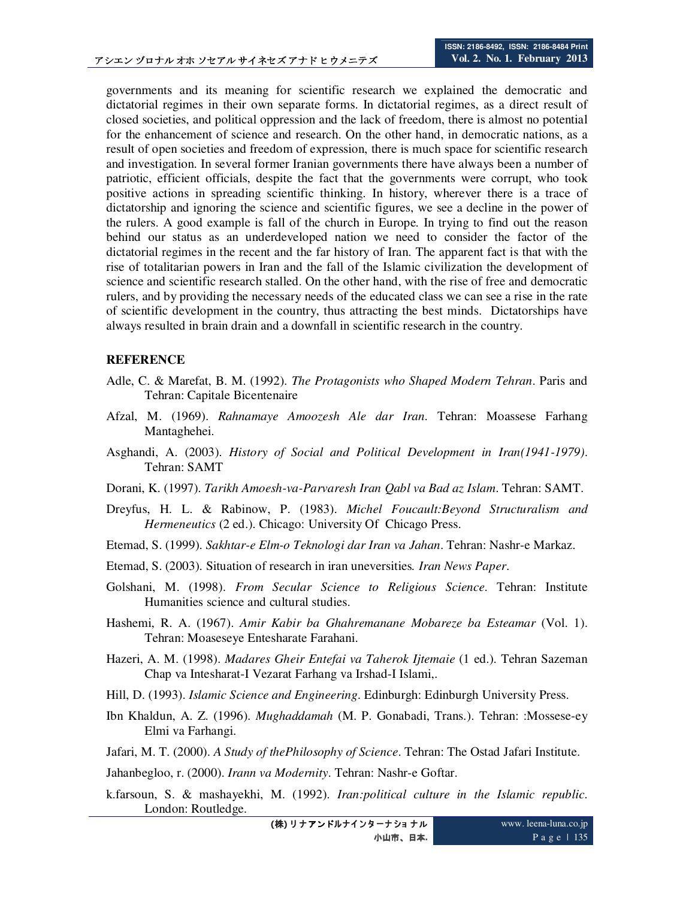governments and its meaning for scientific research we explained the democratic and dictatorial regimes in their own separate forms. In dictatorial regimes, as a direct result of closed societies, and political oppression and the lack of freedom, there is almost no potential for the enhancement of science and research. On the other hand, in democratic nations, as a result of open societies and freedom of expression, there is much space for scientific research and investigation. In several former Iranian governments there have always been a number of patriotic, efficient officials, despite the fact that the governments were corrupt, who took positive actions in spreading scientific thinking. In history, wherever there is a trace of dictatorship and ignoring the science and scientific figures, we see a decline in the power of the rulers. A good example is fall of the church in Europe. In trying to find out the reason behind our status as an underdeveloped nation we need to consider the factor of the dictatorial regimes in the recent and the far history of Iran. The apparent fact is that with the rise of totalitarian powers in Iran and the fall of the Islamic civilization the development of science and scientific research stalled. On the other hand, with the rise of free and democratic rulers, and by providing the necessary needs of the educated class we can see a rise in the rate of scientific development in the country, thus attracting the best minds. Dictatorships have always resulted in brain drain and a downfall in scientific research in the country.

#### **REFERENCE**

- Adle, C. & Marefat, B. M. (1992). *The Protagonists who Shaped Modern Tehran*. Paris and Tehran: Capitale Bicentenaire
- Afzal, M. (1969). *Rahnamaye Amoozesh Ale dar Iran*. Tehran: Moassese Farhang Mantaghehei.
- Asghandi, A. (2003). *History of Social and Political Development in Iran(1941-1979)*. Tehran: SAMT
- Dorani, K. (1997). *Tarikh Amoesh-va-Parvaresh Iran Qabl va Bad az Islam*. Tehran: SAMT.
- Dreyfus, H. L. & Rabinow, P. (1983). *Michel Foucault:Beyond Structuralism and Hermeneutics* (2 ed.). Chicago: University Of Chicago Press.
- Etemad, S. (1999). *Sakhtar-e Elm-o Teknologi dar Iran va Jahan*. Tehran: Nashr-e Markaz.
- Etemad, S. (2003). Situation of research in iran uneversities*. Iran News Paper*.
- Golshani, M. (1998). *From Secular Science to Religious Science*. Tehran: Institute Humanities science and cultural studies.
- Hashemi, R. A. (1967). *Amir Kabir ba Ghahremanane Mobareze ba Esteamar* (Vol. 1). Tehran: Moaseseye Entesharate Farahani.
- Hazeri, A. M. (1998). *Madares Gheir Entefai va Taherok Ijtemaie* (1 ed.). Tehran Sazeman Chap va Intesharat-I Vezarat Farhang va Irshad-I Islami,.
- Hill, D. (1993). *Islamic Science and Engineering*. Edinburgh: Edinburgh University Press.
- Ibn Khaldun, A. Z. (1996). *Mughaddamah* (M. P. Gonabadi, Trans.). Tehran: :Mossese-ey Elmi va Farhangi.
- Jafari, M. T. (2000). *A Study of thePhilosophy of Science*. Tehran: The Ostad Jafari Institute.

Jahanbegloo, r. (2000). *Irann va Modernity*. Tehran: Nashr-e Goftar.

k.farsoun, S. & mashayekhi, M. (1992). *Iran:political culture in the Islamic republic*. London: Routledge.